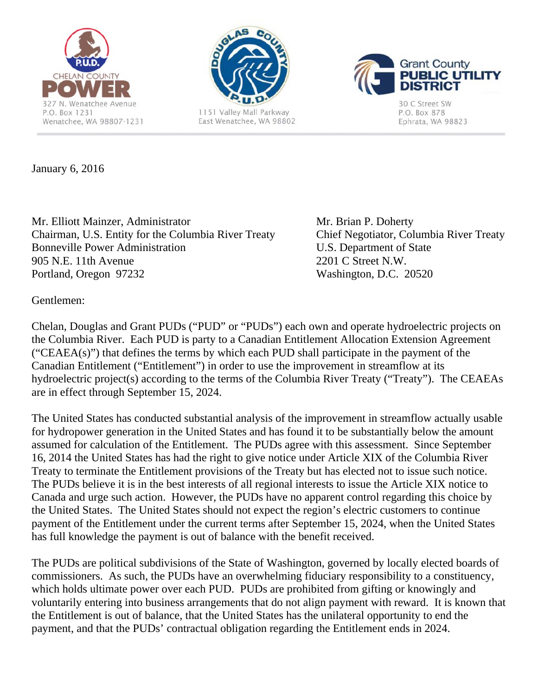





30 C Street SW P.O. Box 878 Ephrata, WA 98823

January 6, 2016

Mr. Elliott Mainzer, Administrator Mr. Brian P. Doherty Chairman, U.S. Entity for the Columbia River Treaty Chief Negotiator, Columbia River Treaty Bonneville Power Administration U.S. Department of State 905 N.E. 11th Avenue 2201 C Street N.W. Portland, Oregon 97232 Washington, D.C. 20520

Gentlemen:

Chelan, Douglas and Grant PUDs ("PUD" or "PUDs") each own and operate hydroelectric projects on the Columbia River. Each PUD is party to a Canadian Entitlement Allocation Extension Agreement ("CEAEA(s)") that defines the terms by which each PUD shall participate in the payment of the Canadian Entitlement ("Entitlement") in order to use the improvement in streamflow at its hydroelectric project(s) according to the terms of the Columbia River Treaty ("Treaty"). The CEAEAs are in effect through September 15, 2024.

The United States has conducted substantial analysis of the improvement in streamflow actually usable for hydropower generation in the United States and has found it to be substantially below the amount assumed for calculation of the Entitlement. The PUDs agree with this assessment. Since September 16, 2014 the United States has had the right to give notice under Article XIX of the Columbia River Treaty to terminate the Entitlement provisions of the Treaty but has elected not to issue such notice. The PUDs believe it is in the best interests of all regional interests to issue the Article XIX notice to Canada and urge such action. However, the PUDs have no apparent control regarding this choice by the United States. The United States should not expect the region's electric customers to continue payment of the Entitlement under the current terms after September 15, 2024, when the United States has full knowledge the payment is out of balance with the benefit received.

The PUDs are political subdivisions of the State of Washington, governed by locally elected boards of commissioners. As such, the PUDs have an overwhelming fiduciary responsibility to a constituency, which holds ultimate power over each PUD. PUDs are prohibited from gifting or knowingly and voluntarily entering into business arrangements that do not align payment with reward. It is known that the Entitlement is out of balance, that the United States has the unilateral opportunity to end the payment, and that the PUDs' contractual obligation regarding the Entitlement ends in 2024.